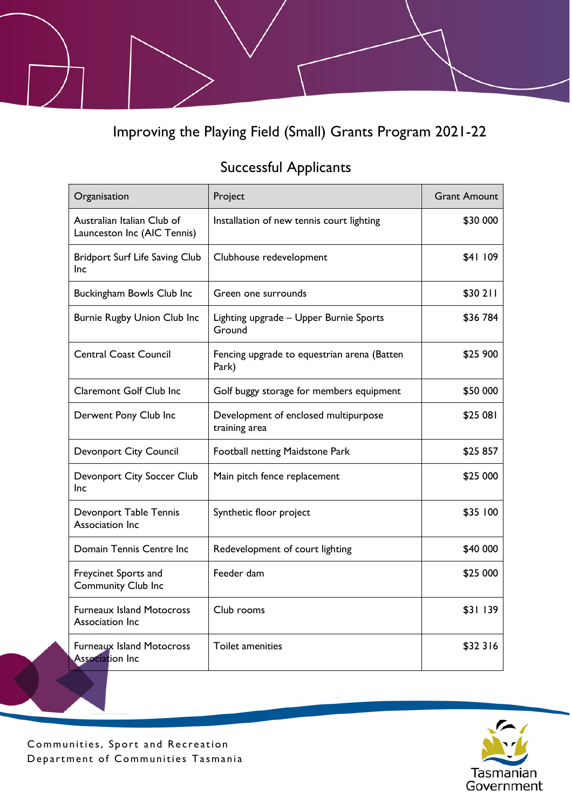Improving the Playing Field (Small) Grants Program 2021-22

## Successful Applicants

| Organisation                                               | Project                                               | <b>Grant Amount</b> |
|------------------------------------------------------------|-------------------------------------------------------|---------------------|
| Australian Italian Club of<br>Launceston Inc (AIC Tennis)  | Installation of new tennis court lighting             | \$30 000            |
| <b>Bridport Surf Life Saving Club</b><br>Inc               | Clubhouse redevelopment                               | \$41 109            |
| Buckingham Bowls Club Inc                                  | Green one surrounds                                   | \$30 211            |
| <b>Burnie Rugby Union Club Inc</b>                         | Lighting upgrade - Upper Burnie Sports<br>Ground      | \$36 784            |
| <b>Central Coast Council</b>                               | Fencing upgrade to equestrian arena (Batten<br>Park)  | \$25 900            |
| <b>Claremont Golf Club Inc</b>                             | Golf buggy storage for members equipment              | \$50 000            |
| Derwent Pony Club Inc                                      | Development of enclosed multipurpose<br>training area | \$25 081            |
| <b>Devonport City Council</b>                              | Football netting Maidstone Park                       | \$25 857            |
| Devonport City Soccer Club<br>Inc.                         | Main pitch fence replacement                          | \$25 000            |
| Devonport Table Tennis<br>Association Inc                  | Synthetic floor project                               | \$35 100            |
| Domain Tennis Centre Inc                                   | Redevelopment of court lighting                       | \$40 000            |
| Freycinet Sports and<br><b>Community Club Inc</b>          | Feeder dam                                            | \$25 000            |
| <b>Furneaux Island Motocross</b><br>Association Inc        | Club rooms                                            | \$31 139            |
| <b>Furneaux Island Motocross</b><br><b>Association Inc</b> | <b>Toilet amenities</b>                               | \$32 316            |



Communities, Sport and Recreation Department of Communities Tasmania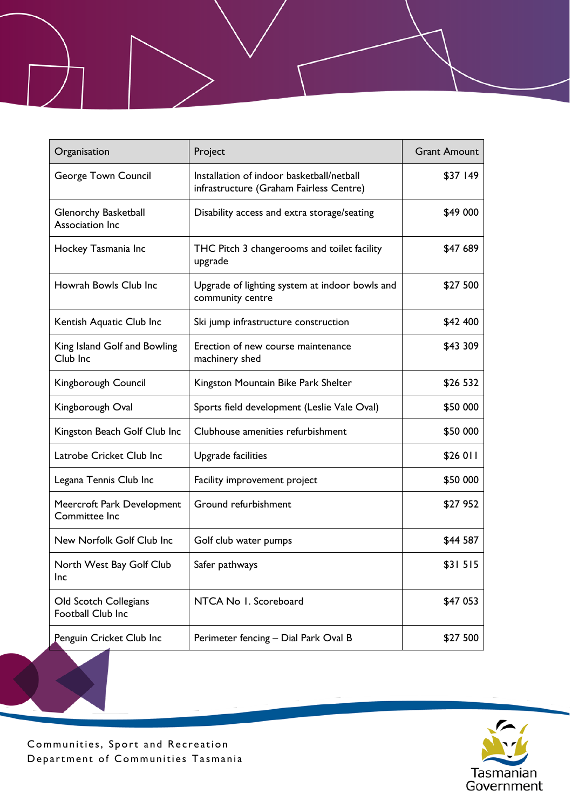| Organisation                                | Project                                                                              | <b>Grant Amount</b> |
|---------------------------------------------|--------------------------------------------------------------------------------------|---------------------|
| George Town Council                         | Installation of indoor basketball/netball<br>infrastructure (Graham Fairless Centre) | \$37 149            |
| Glenorchy Basketball<br>Association Inc     | Disability access and extra storage/seating                                          | \$49 000            |
| Hockey Tasmania Inc                         | THC Pitch 3 changerooms and toilet facility<br>upgrade                               | \$47 689            |
| Howrah Bowls Club Inc                       | Upgrade of lighting system at indoor bowls and<br>community centre                   | \$27 500            |
| Kentish Aquatic Club Inc                    | Ski jump infrastructure construction                                                 | \$42 400            |
| King Island Golf and Bowling<br>Club Inc    | Erection of new course maintenance<br>machinery shed                                 | \$43 309            |
| Kingborough Council                         | Kingston Mountain Bike Park Shelter                                                  | \$26 532            |
| Kingborough Oval                            | Sports field development (Leslie Vale Oval)                                          | \$50 000            |
| Kingston Beach Golf Club Inc                | Clubhouse amenities refurbishment                                                    | \$50 000            |
| Latrobe Cricket Club Inc                    | Upgrade facilities                                                                   | \$26 011            |
| Legana Tennis Club Inc                      | Facility improvement project                                                         | \$50 000            |
| Meercroft Park Development<br>Committee Inc | Ground refurbishment                                                                 | \$27 952            |
| New Norfolk Golf Club Inc                   | Golf club water pumps                                                                | \$44 587            |
| North West Bay Golf Club<br>Inc             | Safer pathways                                                                       | \$31515             |
| Old Scotch Collegians<br>Football Club Inc  | NTCA No 1. Scoreboard                                                                | \$47 053            |
| Penguin Cricket Club Inc                    | Perimeter fencing - Dial Park Oval B                                                 | \$27 500            |